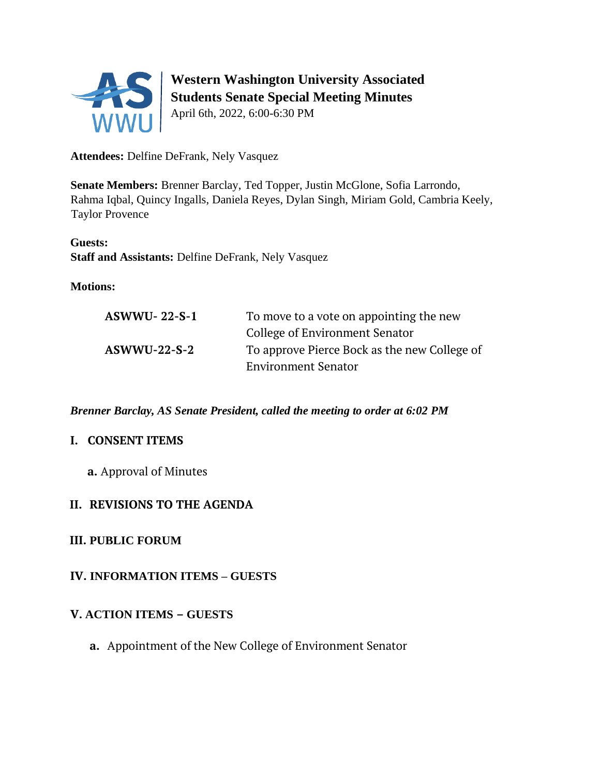

# **Western Washington University Associated Students Senate Special Meeting Minutes**

April 6th, 2022, 6:00-6:30 PM

**Attendees:** Delfine DeFrank, Nely Vasquez

**Senate Members:** Brenner Barclay, Ted Topper, Justin McGlone, Sofia Larrondo, Rahma Iqbal, Quincy Ingalls, Daniela Reyes, Dylan Singh, Miriam Gold, Cambria Keely, Taylor Provence

**Guests: Staff and Assistants:** Delfine DeFrank, Nely Vasquez

### **Motions:**

| $ASWWU-22-S-1$ | To move to a vote on appointing the new      |
|----------------|----------------------------------------------|
|                | College of Environment Senator               |
| $ASWWU-22-S-2$ | To approve Pierce Bock as the new College of |
|                | <b>Environment Senator</b>                   |

*Brenner Barclay, AS Senate President, called the meeting to order at 6:02 PM* 

### **I. CONSENT ITEMS**

**a.** Approval of Minutes

# **II. REVISIONS TO THE AGENDA**

### **III. PUBLIC FORUM**

### **IV. INFORMATION ITEMS – GUESTS**

### **V. ACTION ITEMS – GUESTS**

**a.** Appointment of the New College of Environment Senator